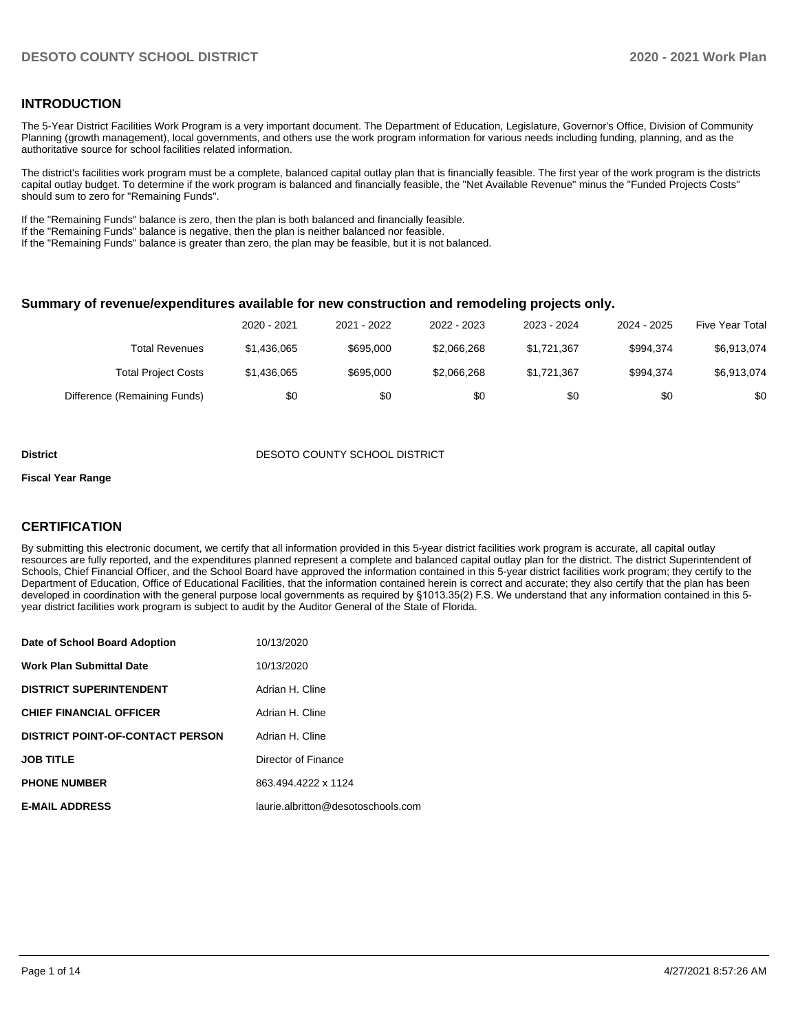### **INTRODUCTION**

The 5-Year District Facilities Work Program is a very important document. The Department of Education, Legislature, Governor's Office, Division of Community Planning (growth management), local governments, and others use the work program information for various needs including funding, planning, and as the authoritative source for school facilities related information.

The district's facilities work program must be a complete, balanced capital outlay plan that is financially feasible. The first year of the work program is the districts capital outlay budget. To determine if the work program is balanced and financially feasible, the "Net Available Revenue" minus the "Funded Projects Costs" should sum to zero for "Remaining Funds".

If the "Remaining Funds" balance is zero, then the plan is both balanced and financially feasible.

If the "Remaining Funds" balance is negative, then the plan is neither balanced nor feasible.

If the "Remaining Funds" balance is greater than zero, the plan may be feasible, but it is not balanced.

#### **Summary of revenue/expenditures available for new construction and remodeling projects only.**

|                              | 2020 - 2021 | 2021 - 2022 | 2022 - 2023 | 2023 - 2024 | 2024 - 2025 | <b>Five Year Total</b> |
|------------------------------|-------------|-------------|-------------|-------------|-------------|------------------------|
| Total Revenues               | \$1,436,065 | \$695,000   | \$2,066,268 | \$1,721,367 | \$994.374   | \$6,913,074            |
| <b>Total Project Costs</b>   | \$1,436,065 | \$695,000   | \$2,066,268 | \$1,721,367 | \$994.374   | \$6,913,074            |
| Difference (Remaining Funds) | \$0         | \$0         | \$0         | \$0         | \$0         | \$0                    |

#### **District DESOTO COUNTY SCHOOL DISTRICT**

#### **Fiscal Year Range**

# **CERTIFICATION**

By submitting this electronic document, we certify that all information provided in this 5-year district facilities work program is accurate, all capital outlay resources are fully reported, and the expenditures planned represent a complete and balanced capital outlay plan for the district. The district Superintendent of Schools, Chief Financial Officer, and the School Board have approved the information contained in this 5-year district facilities work program; they certify to the Department of Education, Office of Educational Facilities, that the information contained herein is correct and accurate; they also certify that the plan has been developed in coordination with the general purpose local governments as required by §1013.35(2) F.S. We understand that any information contained in this 5 year district facilities work program is subject to audit by the Auditor General of the State of Florida.

| Date of School Board Adoption           | 10/13/2020                         |
|-----------------------------------------|------------------------------------|
| <b>Work Plan Submittal Date</b>         | 10/13/2020                         |
| <b>DISTRICT SUPERINTENDENT</b>          | Adrian H. Cline                    |
| <b>CHIEF FINANCIAL OFFICER</b>          | Adrian H. Cline                    |
| <b>DISTRICT POINT-OF-CONTACT PERSON</b> | Adrian H. Cline                    |
| <b>JOB TITLE</b>                        | Director of Finance                |
| <b>PHONE NUMBER</b>                     | 863.494.4222 x 1124                |
| <b>E-MAIL ADDRESS</b>                   | laurie.albritton@desotoschools.com |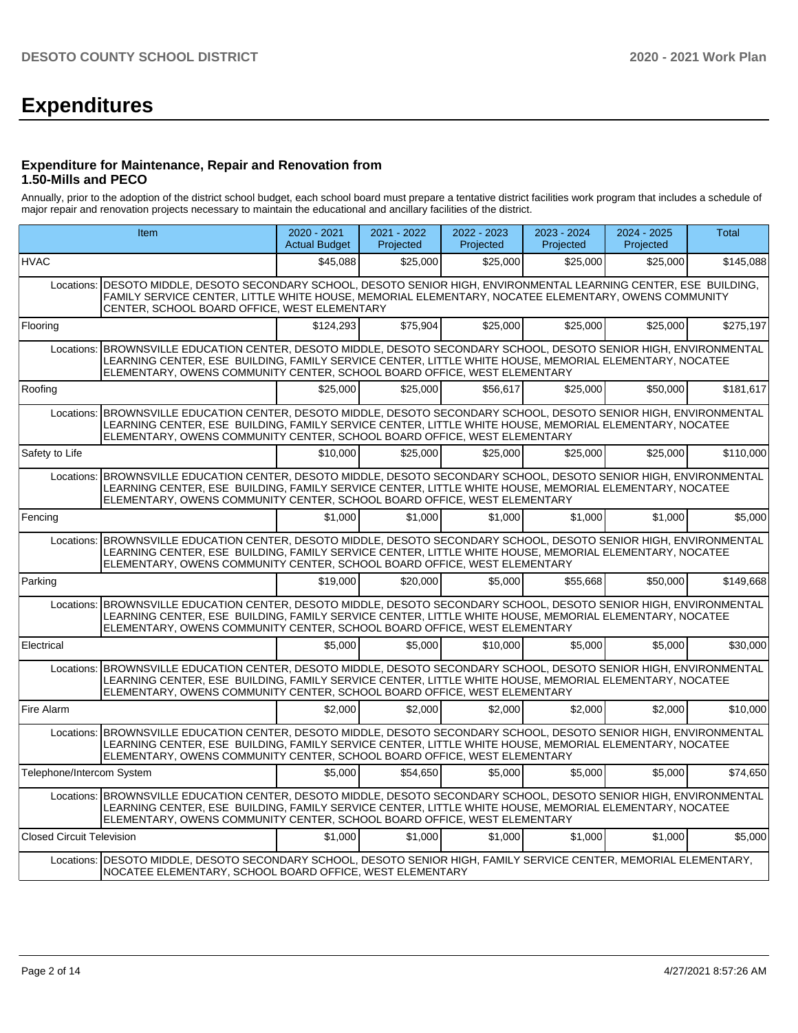# **Expenditures**

### **Expenditure for Maintenance, Repair and Renovation from 1.50-Mills and PECO**

Annually, prior to the adoption of the district school budget, each school board must prepare a tentative district facilities work program that includes a schedule of major repair and renovation projects necessary to maintain the educational and ancillary facilities of the district.

|                                  | Item                                                                                                                                                                                                                                                                                                     | $2020 - 2021$<br><b>Actual Budget</b> | 2021 - 2022<br>Projected | 2022 - 2023<br>Projected | 2023 - 2024<br>Projected | 2024 - 2025<br>Projected | <b>Total</b> |
|----------------------------------|----------------------------------------------------------------------------------------------------------------------------------------------------------------------------------------------------------------------------------------------------------------------------------------------------------|---------------------------------------|--------------------------|--------------------------|--------------------------|--------------------------|--------------|
| <b>HVAC</b>                      |                                                                                                                                                                                                                                                                                                          | \$45.088                              | \$25,000                 | \$25,000                 | \$25,000                 | \$25,000                 | \$145,088    |
| Locations:                       | DESOTO MIDDLE, DESOTO SECONDARY SCHOOL, DESOTO SENIOR HIGH, ENVIRONMENTAL LEARNING CENTER, ESE BUILDING,<br>FAMILY SERVICE CENTER, LITTLE WHITE HOUSE, MEMORIAL ELEMENTARY, NOCATEE ELEMENTARY, OWENS COMMUNITY<br>CENTER, SCHOOL BOARD OFFICE, WEST ELEMENTARY                                          |                                       |                          |                          |                          |                          |              |
| Flooring                         |                                                                                                                                                                                                                                                                                                          | \$124.293                             | \$75.904                 | \$25,000                 | \$25,000                 | \$25,000                 | \$275,197    |
| Locations:                       | BROWNSVILLE EDUCATION CENTER, DESOTO MIDDLE, DESOTO SECONDARY SCHOOL, DESOTO SENIOR HIGH, ENVIRONMENTAL<br>LEARNING CENTER, ESE BUILDING, FAMILY SERVICE CENTER, LITTLE WHITE HOUSE, MEMORIAL ELEMENTARY, NOCATEE<br>ELEMENTARY, OWENS COMMUNITY CENTER, SCHOOL BOARD OFFICE, WEST ELEMENTARY            |                                       |                          |                          |                          |                          |              |
| Roofing                          |                                                                                                                                                                                                                                                                                                          | \$25,000                              | \$25,000                 | \$56.617                 | \$25,000                 | \$50,000                 | \$181,617    |
| Locations:                       | BROWNSVILLE EDUCATION CENTER, DESOTO MIDDLE, DESOTO SECONDARY SCHOOL, DESOTO SENIOR HIGH, ENVIRONMENTAL<br>LEARNING CENTER, ESE BUILDING, FAMILY SERVICE CENTER, LITTLE WHITE HOUSE, MEMORIAL ELEMENTARY, NOCATEE<br>ELEMENTARY, OWENS COMMUNITY CENTER, SCHOOL BOARD OFFICE, WEST ELEMENTARY            |                                       |                          |                          |                          |                          |              |
| Safety to Life                   |                                                                                                                                                                                                                                                                                                          | \$10,000                              | \$25,000                 | \$25,000                 | \$25,000                 | \$25,000                 | \$110,000    |
| Locations:                       | BROWNSVILLE EDUCATION CENTER, DESOTO MIDDLE, DESOTO SECONDARY SCHOOL, DESOTO SENIOR HIGH, ENVIRONMENTAL<br>LEARNING CENTER, ESE BUILDING, FAMILY SERVICE CENTER, LITTLE WHITE HOUSE, MEMORIAL ELEMENTARY, NOCATEE<br>ELEMENTARY, OWENS COMMUNITY CENTER, SCHOOL BOARD OFFICE, WEST ELEMENTARY            |                                       |                          |                          |                          |                          |              |
| Fencing                          |                                                                                                                                                                                                                                                                                                          | \$1,000                               | \$1,000                  | \$1,000                  | \$1,000                  | \$1,000                  | \$5,000      |
|                                  | Locations: BROWNSVILLE EDUCATION CENTER, DESOTO MIDDLE, DESOTO SECONDARY SCHOOL, DESOTO SENIOR HIGH, ENVIRONMENTAL<br>LEARNING CENTER, ESE BUILDING, FAMILY SERVICE CENTER, LITTLE WHITE HOUSE, MEMORIAL ELEMENTARY, NOCATEE<br>ELEMENTARY, OWENS COMMUNITY CENTER, SCHOOL BOARD OFFICE, WEST ELEMENTARY |                                       |                          |                          |                          |                          |              |
| Parking                          |                                                                                                                                                                                                                                                                                                          | \$19,000                              | \$20,000                 | \$5,000                  | \$55.668                 | \$50,000                 | \$149.668    |
|                                  | Locations: BROWNSVILLE EDUCATION CENTER, DESOTO MIDDLE, DESOTO SECONDARY SCHOOL, DESOTO SENIOR HIGH, ENVIRONMENTAL<br>LEARNING CENTER, ESE BUILDING, FAMILY SERVICE CENTER, LITTLE WHITE HOUSE, MEMORIAL ELEMENTARY, NOCATEE<br>ELEMENTARY, OWENS COMMUNITY CENTER, SCHOOL BOARD OFFICE, WEST ELEMENTARY |                                       |                          |                          |                          |                          |              |
| Electrical                       |                                                                                                                                                                                                                                                                                                          | \$5,000                               | \$5.000                  | \$10,000                 | \$5.000                  | \$5.000                  | \$30,000     |
|                                  | Locations: BROWNSVILLE EDUCATION CENTER, DESOTO MIDDLE, DESOTO SECONDARY SCHOOL, DESOTO SENIOR HIGH, ENVIRONMENTAL<br>LEARNING CENTER, ESE BUILDING, FAMILY SERVICE CENTER, LITTLE WHITE HOUSE, MEMORIAL ELEMENTARY, NOCATEE<br>ELEMENTARY, OWENS COMMUNITY CENTER, SCHOOL BOARD OFFICE, WEST ELEMENTARY |                                       |                          |                          |                          |                          |              |
| Fire Alarm                       |                                                                                                                                                                                                                                                                                                          | \$2,000                               | \$2.000                  | \$2,000                  | \$2,000                  | \$2.000                  | \$10,000     |
|                                  | Locations: BROWNSVILLE EDUCATION CENTER, DESOTO MIDDLE, DESOTO SECONDARY SCHOOL, DESOTO SENIOR HIGH, ENVIRONMENTAL<br>LEARNING CENTER, ESE BUILDING, FAMILY SERVICE CENTER, LITTLE WHITE HOUSE, MEMORIAL ELEMENTARY, NOCATEE<br>ELEMENTARY, OWENS COMMUNITY CENTER, SCHOOL BOARD OFFICE, WEST ELEMENTARY |                                       |                          |                          |                          |                          |              |
| Telephone/Intercom System        |                                                                                                                                                                                                                                                                                                          | \$5,000                               | \$54.650                 | \$5,000                  | \$5,000                  | \$5,000                  | \$74,650     |
|                                  | Locations: BROWNSVILLE EDUCATION CENTER, DESOTO MIDDLE, DESOTO SECONDARY SCHOOL, DESOTO SENIOR HIGH, ENVIRONMENTAL<br>LEARNING CENTER, ESE BUILDING, FAMILY SERVICE CENTER, LITTLE WHITE HOUSE, MEMORIAL ELEMENTARY, NOCATEE<br>ELEMENTARY, OWENS COMMUNITY CENTER, SCHOOL BOARD OFFICE, WEST ELEMENTARY |                                       |                          |                          |                          |                          |              |
| <b>Closed Circuit Television</b> |                                                                                                                                                                                                                                                                                                          | \$1,000                               | \$1,000                  | \$1,000                  | \$1,000                  | \$1,000                  | \$5,000      |
|                                  | Locations:   DESOTO MIDDLE, DESOTO SECONDARY SCHOOL, DESOTO SENIOR HIGH, FAMILY SERVICE CENTER, MEMORIAL ELEMENTARY,<br>NOCATEE ELEMENTARY, SCHOOL BOARD OFFICE, WEST ELEMENTARY                                                                                                                         |                                       |                          |                          |                          |                          |              |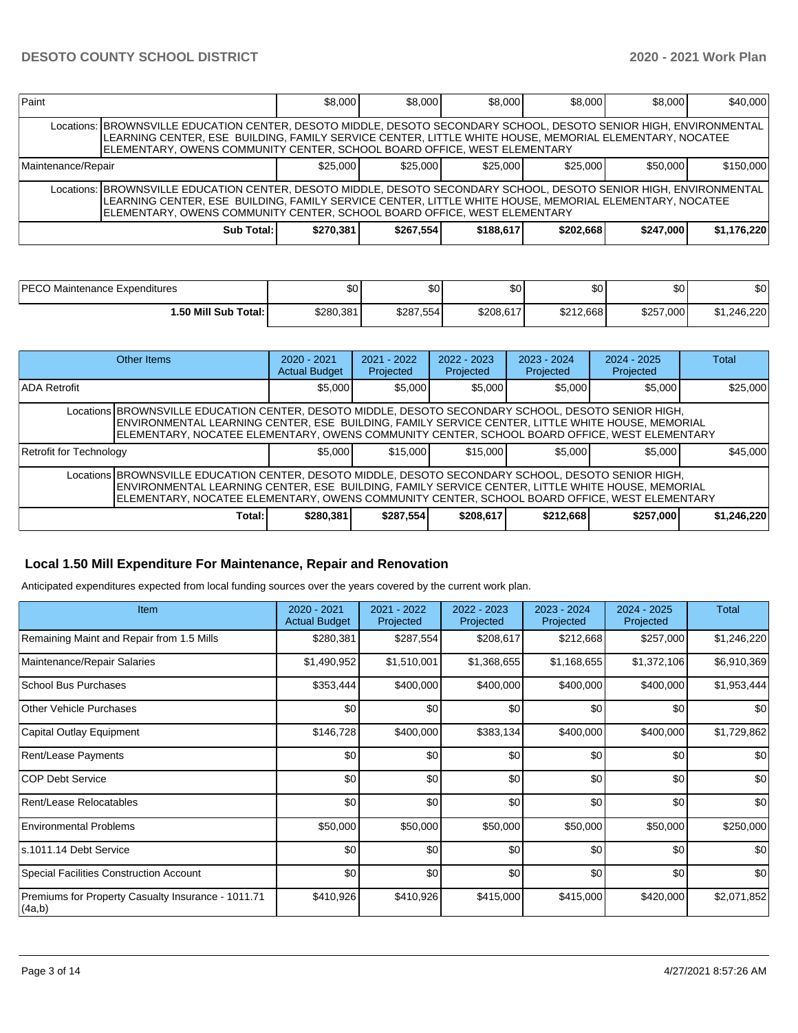| Paint                                                  |                                                                                                                                                                                                                                                                                                          | \$8,000   | \$8,000   | \$8,000   | \$8,000   | \$8,000   | \$40,000    |  |  |  |
|--------------------------------------------------------|----------------------------------------------------------------------------------------------------------------------------------------------------------------------------------------------------------------------------------------------------------------------------------------------------------|-----------|-----------|-----------|-----------|-----------|-------------|--|--|--|
|                                                        | Locations: BROWNSVILLE EDUCATION CENTER, DESOTO MIDDLE, DESOTO SECONDARY SCHOOL, DESOTO SENIOR HIGH, ENVIRONMENTAL<br>LEARNING CENTER, ESE BUILDING, FAMILY SERVICE CENTER, LITTLE WHITE HOUSE, MEMORIAL ELEMENTARY, NOCATEE<br>ELEMENTARY, OWENS COMMUNITY CENTER, SCHOOL BOARD OFFICE, WEST ELEMENTARY |           |           |           |           |           |             |  |  |  |
| \$25.000<br>\$25,000<br>\$25,000<br>Maintenance/Repair |                                                                                                                                                                                                                                                                                                          |           |           |           | \$25,000  | \$50,000  | \$150,000   |  |  |  |
|                                                        | Locations: BROWNSVILLE EDUCATION CENTER, DESOTO MIDDLE, DESOTO SECONDARY SCHOOL, DESOTO SENIOR HIGH, ENVIRONMENTAL<br>LEARNING CENTER, ESE BUILDING, FAMILY SERVICE CENTER, LITTLE WHITE HOUSE, MEMORIAL ELEMENTARY, NOCATEE<br>ELEMENTARY, OWENS COMMUNITY CENTER, SCHOOL BOARD OFFICE, WEST ELEMENTARY |           |           |           |           |           |             |  |  |  |
|                                                        | Sub Total:                                                                                                                                                                                                                                                                                               | \$270.381 | \$267.554 | \$188,617 | \$202.668 | \$247,000 | \$1,176,220 |  |  |  |

| <b>DECOM</b>                     | ¢Λ        | ድሰ        | ሶሰ        | \$0       | $\sim$                   | ሶሳ        |
|----------------------------------|-----------|-----------|-----------|-----------|--------------------------|-----------|
| Maintenance Expenditures         | Ψ         | ΦU        | ΦU        |           | Ψ⊾                       | ა∪        |
| Total:<br><b>⊥.50 Mill Sub</b> ˈ | \$280.381 | \$287.554 | \$208.617 | \$212.668 | \$257.<br>000<br>. . JUU | 1.246.220 |

|                                                                                                                                                                                                                                                                                                         | <b>Other Items</b>                                                                                                                                                                                                                                                                                      | $2020 - 2021$<br><b>Actual Budget</b> | $2021 - 2022$<br>Projected | $2022 - 2023$<br>Projected | $2023 - 2024$<br>Projected | $2024 - 2025$<br>Projected | Total       |  |  |
|---------------------------------------------------------------------------------------------------------------------------------------------------------------------------------------------------------------------------------------------------------------------------------------------------------|---------------------------------------------------------------------------------------------------------------------------------------------------------------------------------------------------------------------------------------------------------------------------------------------------------|---------------------------------------|----------------------------|----------------------------|----------------------------|----------------------------|-------------|--|--|
| <b>ADA Retrofit</b>                                                                                                                                                                                                                                                                                     |                                                                                                                                                                                                                                                                                                         | \$5,000                               | \$5.000                    | \$5,000                    | \$5,000                    | \$5,000                    | \$25,000    |  |  |
|                                                                                                                                                                                                                                                                                                         | Locations BROWNSVILLE EDUCATION CENTER, DESOTO MIDDLE, DESOTO SECONDARY SCHOOL, DESOTO SENIOR HIGH,<br>ENVIRONMENTAL LEARNING CENTER, ESE BUILDING, FAMILY SERVICE CENTER, LITTLE WHITE HOUSE, MEMORIAL<br>ELEMENTARY, NOCATEE ELEMENTARY, OWENS COMMUNITY CENTER, SCHOOL BOARD OFFICE, WEST ELEMENTARY |                                       |                            |                            |                            |                            |             |  |  |
| Retrofit for Technology                                                                                                                                                                                                                                                                                 |                                                                                                                                                                                                                                                                                                         | \$5,000                               | \$15,000                   | \$15,000                   | \$5,000                    | \$5,000                    | \$45,000    |  |  |
| Locations BROWNSVILLE EDUCATION CENTER, DESOTO MIDDLE, DESOTO SECONDARY SCHOOL, DESOTO SENIOR HIGH,<br>ENVIRONMENTAL LEARNING CENTER, ESE BUILDING, FAMILY SERVICE CENTER, LITTLE WHITE HOUSE, MEMORIAL<br>ELEMENTARY, NOCATEE ELEMENTARY, OWENS COMMUNITY CENTER, SCHOOL BOARD OFFICE, WEST ELEMENTARY |                                                                                                                                                                                                                                                                                                         |                                       |                            |                            |                            |                            |             |  |  |
|                                                                                                                                                                                                                                                                                                         | Total:                                                                                                                                                                                                                                                                                                  | \$280,381                             | \$287,554                  | \$208,617                  | \$212,668                  | \$257,000                  | \$1,246,220 |  |  |

# **Local 1.50 Mill Expenditure For Maintenance, Repair and Renovation**

Anticipated expenditures expected from local funding sources over the years covered by the current work plan.

| Item                                                         | 2020 - 2021<br><b>Actual Budget</b> | 2021 - 2022<br>Projected | 2022 - 2023<br>Projected | 2023 - 2024<br>Projected | $2024 - 2025$<br>Projected | <b>Total</b> |
|--------------------------------------------------------------|-------------------------------------|--------------------------|--------------------------|--------------------------|----------------------------|--------------|
| Remaining Maint and Repair from 1.5 Mills                    | \$280,381                           | \$287,554                | \$208,617                | \$212,668                | \$257,000                  | \$1,246,220  |
| Maintenance/Repair Salaries                                  | \$1,490,952                         | \$1,510,001              | \$1,368,655              | \$1,168,655              | \$1,372,106                | \$6,910,369  |
| School Bus Purchases                                         | \$353,444                           | \$400,000                | \$400,000                | \$400,000                | \$400,000                  | \$1,953,444  |
| <b>Other Vehicle Purchases</b>                               | \$0                                 | \$0                      | \$0                      | \$0                      | \$0                        | \$0          |
| Capital Outlay Equipment                                     | \$146,728                           | \$400,000                | \$383,134                | \$400,000                | \$400,000                  | \$1,729,862  |
| Rent/Lease Payments                                          | \$0                                 | \$0                      | \$0                      | \$0                      | \$0                        | \$0          |
| ICOP Debt Service                                            | \$0                                 | \$0                      | \$0                      | \$0                      | \$0                        | \$0          |
| Rent/Lease Relocatables                                      | \$0                                 | \$0                      | \$0                      | \$0                      | \$0                        | \$0          |
| <b>Environmental Problems</b>                                | \$50,000                            | \$50,000                 | \$50,000                 | \$50,000                 | \$50,000                   | \$250,000    |
| ls.1011.14 Debt Service                                      | \$0                                 | \$0                      | \$0                      | \$0                      | \$0                        | \$0          |
| Special Facilities Construction Account                      | \$0                                 | \$0                      | \$0                      | \$0                      | \$0                        | \$0          |
| Premiums for Property Casualty Insurance - 1011.71<br>(4a,b) | \$410,926                           | \$410,926                | \$415,000                | \$415,000                | \$420,000                  | \$2,071,852  |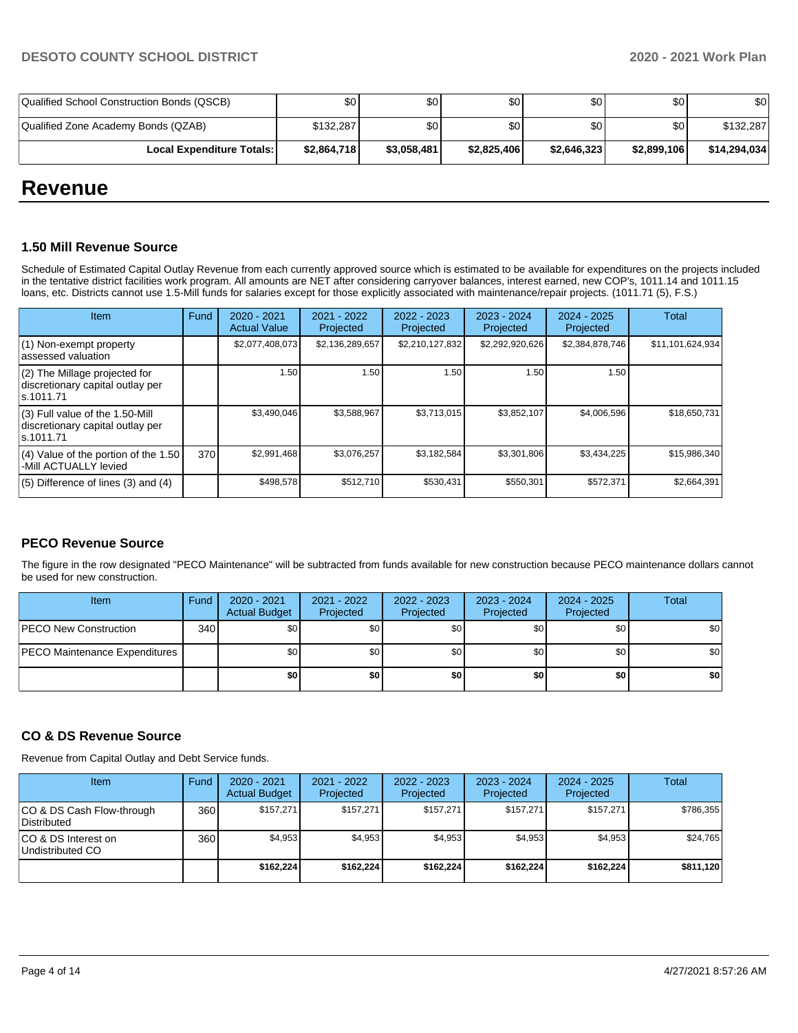| Qualified School Construction Bonds (QSCB) | \$0         | \$0              | \$0 <sub>1</sub> | \$0              | \$0         | \$0          |
|--------------------------------------------|-------------|------------------|------------------|------------------|-------------|--------------|
| Qualified Zone Academy Bonds (QZAB)        | \$132,287   | \$0 <sub>1</sub> | \$0              | \$0 <sub>1</sub> | \$0         | \$132,287    |
| <b>Local Expenditure Totals: I</b>         | \$2,864,718 | \$3,058,481      | \$2,825,406      | \$2,646,323      | \$2,899,106 | \$14,294,034 |

# **Revenue**

# **1.50 Mill Revenue Source**

Schedule of Estimated Capital Outlay Revenue from each currently approved source which is estimated to be available for expenditures on the projects included in the tentative district facilities work program. All amounts are NET after considering carryover balances, interest earned, new COP's, 1011.14 and 1011.15 loans, etc. Districts cannot use 1.5-Mill funds for salaries except for those explicitly associated with maintenance/repair projects. (1011.71 (5), F.S.)

| <b>Item</b>                                                                         | Fund | $2020 - 2021$<br><b>Actual Value</b> | $2021 - 2022$<br>Projected | $2022 - 2023$<br>Projected | $2023 - 2024$<br>Projected | $2024 - 2025$<br>Projected | Total            |
|-------------------------------------------------------------------------------------|------|--------------------------------------|----------------------------|----------------------------|----------------------------|----------------------------|------------------|
| (1) Non-exempt property<br>lassessed valuation                                      |      | \$2,077,408,073                      | \$2,136,289,657            | \$2,210,127,832            | \$2,292,920,626            | \$2,384,878,746            | \$11,101,624,934 |
| (2) The Millage projected for<br>discretionary capital outlay per<br>ls.1011.71     |      | 1.50                                 | 1.50                       | 1.50                       | 1.50                       | 1.50                       |                  |
| $(3)$ Full value of the 1.50-Mill<br>discretionary capital outlay per<br>ls.1011.71 |      | \$3,490,046                          | \$3,588,967                | \$3,713,015                | \$3,852,107                | \$4,006,596                | \$18,650,731     |
| $(4)$ Value of the portion of the 1.50<br>-Mill ACTUALLY levied                     | 370  | \$2,991,468                          | \$3,076,257                | \$3,182,584                | \$3,301,806                | \$3,434,225                | \$15,986,340     |
| $(5)$ Difference of lines $(3)$ and $(4)$                                           |      | \$498,578                            | \$512,710                  | \$530,431                  | \$550,301                  | \$572,371                  | \$2,664,391      |

# **PECO Revenue Source**

The figure in the row designated "PECO Maintenance" will be subtracted from funds available for new construction because PECO maintenance dollars cannot be used for new construction.

| Item                          | Fund | 2020 - 2021<br><b>Actual Budget</b> | 2021 - 2022<br>Projected | 2022 - 2023<br>Projected | 2023 - 2024<br>Projected | 2024 - 2025<br>Projected | Total            |
|-------------------------------|------|-------------------------------------|--------------------------|--------------------------|--------------------------|--------------------------|------------------|
| <b>PECO New Construction</b>  | 340  | \$0                                 | \$0                      | \$0                      | \$0                      | \$0                      | \$0              |
| PECO Maintenance Expenditures |      | \$0                                 | \$0                      | \$0                      | \$0                      | \$0                      | \$0 <sub>1</sub> |
|                               |      | \$0                                 | \$0                      | \$0                      | \$0                      | \$0                      | \$0              |

# **CO & DS Revenue Source**

Revenue from Capital Outlay and Debt Service funds.

| Item                                      | Fund  | 2020 - 2021<br><b>Actual Budget</b> | 2021 - 2022<br>Projected | 2022 - 2023<br>Projected | $2023 - 2024$<br>Projected | $2024 - 2025$<br>Projected | Total     |
|-------------------------------------------|-------|-------------------------------------|--------------------------|--------------------------|----------------------------|----------------------------|-----------|
| ICO & DS Cash Flow-through<br>Distributed | 360 l | \$157.271                           | \$157,271                | \$157.271                | \$157.271                  | \$157.271                  | \$786,355 |
| ICO & DS Interest on<br>Undistributed CO  | 360   | \$4,953                             | \$4,953                  | \$4,953                  | \$4.953                    | \$4,953                    | \$24,765  |
|                                           |       | \$162,224                           | \$162,224                | \$162,224                | \$162,224                  | \$162,224                  | \$811,120 |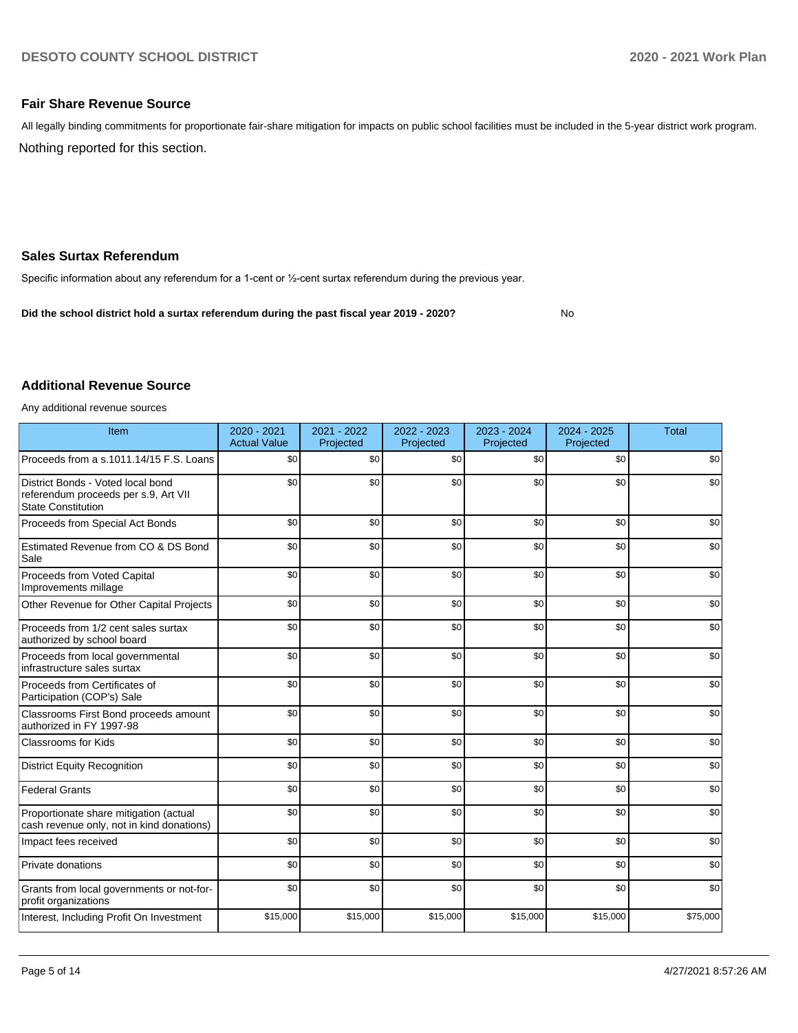No

# **Fair Share Revenue Source**

Nothing reported for this section. All legally binding commitments for proportionate fair-share mitigation for impacts on public school facilities must be included in the 5-year district work program.

#### **Sales Surtax Referendum**

Specific information about any referendum for a 1-cent or ½-cent surtax referendum during the previous year.

**Did the school district hold a surtax referendum during the past fiscal year 2019 - 2020?**

### **Additional Revenue Source**

Any additional revenue sources

| Item                                                                                                   | $2020 - 2021$<br><b>Actual Value</b> | 2021 - 2022<br>Projected | 2022 - 2023<br>Projected | 2023 - 2024<br>Projected | $2024 - 2025$<br>Projected | <b>Total</b> |
|--------------------------------------------------------------------------------------------------------|--------------------------------------|--------------------------|--------------------------|--------------------------|----------------------------|--------------|
| Proceeds from a s.1011.14/15 F.S. Loans                                                                | \$0                                  | \$0                      | \$0                      | \$0                      | \$0                        | \$0          |
| District Bonds - Voted local bond<br>referendum proceeds per s.9, Art VII<br><b>State Constitution</b> | \$0                                  | \$0                      | \$0                      | \$0                      | \$0                        | \$0          |
| Proceeds from Special Act Bonds                                                                        | \$0                                  | \$0                      | \$0                      | \$0                      | \$0                        | \$0          |
| Estimated Revenue from CO & DS Bond<br>Sale                                                            | \$0                                  | \$0                      | \$0                      | \$0                      | \$0                        | \$0          |
| Proceeds from Voted Capital<br>Improvements millage                                                    | \$0                                  | \$0                      | \$0                      | \$0                      | \$0                        | \$0          |
| Other Revenue for Other Capital Projects                                                               | \$0                                  | \$0                      | \$0                      | \$0                      | \$0                        | \$0          |
| Proceeds from 1/2 cent sales surtax<br>authorized by school board                                      | \$0                                  | \$0                      | \$0                      | \$0                      | \$0                        | \$0          |
| Proceeds from local governmental<br>infrastructure sales surtax                                        | \$0                                  | \$0                      | \$0                      | \$0                      | \$0                        | \$0          |
| Proceeds from Certificates of<br>Participation (COP's) Sale                                            | \$0                                  | \$0                      | \$0                      | \$0                      | \$0                        | \$0          |
| Classrooms First Bond proceeds amount<br>authorized in FY 1997-98                                      | \$0                                  | \$0                      | \$0                      | \$0                      | \$0                        | \$0          |
| <b>Classrooms for Kids</b>                                                                             | \$0                                  | \$0                      | \$0                      | \$0                      | \$0                        | \$0          |
| <b>District Equity Recognition</b>                                                                     | \$0                                  | \$0                      | \$0                      | \$0                      | \$0                        | \$0          |
| <b>Federal Grants</b>                                                                                  | \$0                                  | \$0                      | \$0                      | \$0                      | \$0                        | \$0          |
| Proportionate share mitigation (actual<br>cash revenue only, not in kind donations)                    | \$0                                  | \$0                      | \$0                      | \$0                      | \$0                        | \$0          |
| Impact fees received                                                                                   | \$0                                  | \$0                      | \$0                      | \$0                      | \$0                        | \$0          |
| Private donations                                                                                      | \$0                                  | \$0                      | \$0                      | \$0                      | \$0                        | \$0          |
| Grants from local governments or not-for-<br>profit organizations                                      | \$0                                  | \$0                      | \$0                      | \$0                      | \$0                        | \$0          |
| Interest, Including Profit On Investment                                                               | \$15,000                             | \$15,000                 | \$15,000                 | \$15,000                 | \$15,000                   | \$75,000     |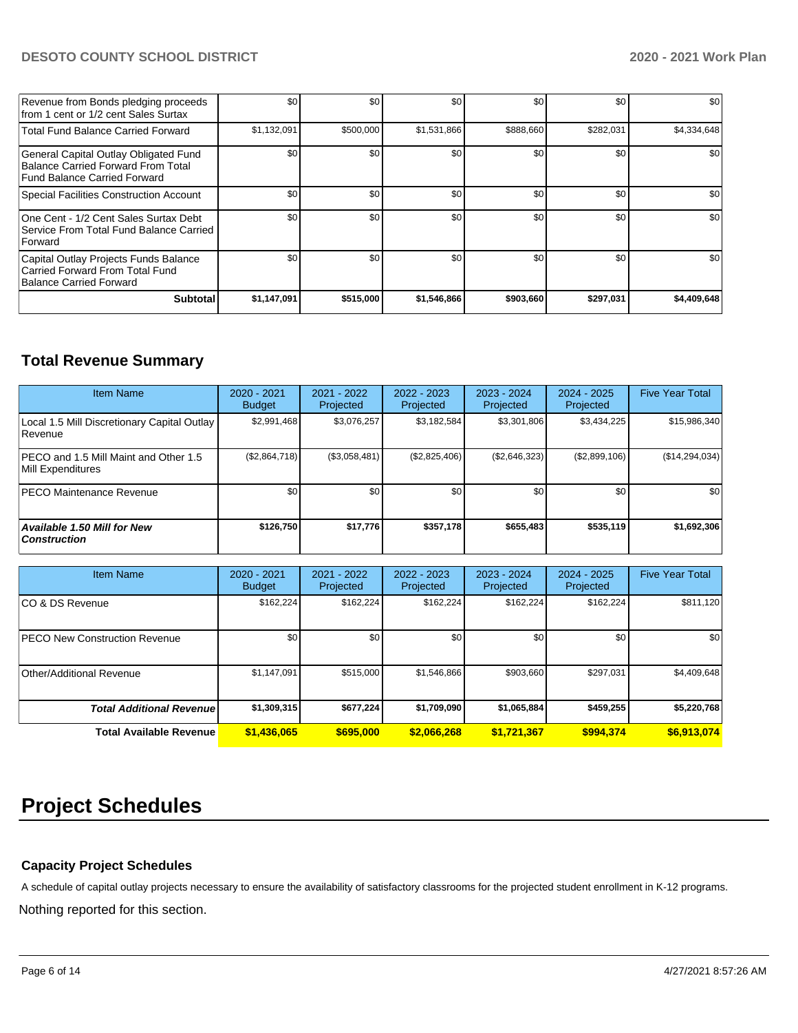# **DESOTO COUNTY SCHOOL DISTRICT 2020 - 2021 Work Plan**

| Revenue from Bonds pledging proceeds<br>from 1 cent or 1/2 cent Sales Surtax                                | \$0         | \$0       | \$0         | \$0       | \$0       | \$0         |
|-------------------------------------------------------------------------------------------------------------|-------------|-----------|-------------|-----------|-----------|-------------|
| <b>Total Fund Balance Carried Forward</b>                                                                   | \$1,132,091 | \$500,000 | \$1,531,866 | \$888,660 | \$282,031 | \$4,334,648 |
| General Capital Outlay Obligated Fund<br>Balance Carried Forward From Total<br>Fund Balance Carried Forward | \$0         | \$0       | \$0         | \$0       | \$0       | \$0         |
| Special Facilities Construction Account                                                                     | \$0         | \$0       | \$0         | \$0       | \$0       | \$0         |
| One Cent - 1/2 Cent Sales Surtax Debt<br>Service From Total Fund Balance Carried<br>Forward                 | \$0         | \$0       | \$0         | \$0       | \$0       | \$0         |
| Capital Outlay Projects Funds Balance<br>Carried Forward From Total Fund<br>Balance Carried Forward         | \$0         | \$0       | \$0         | \$0       | \$0       | \$0         |
| Subtotal                                                                                                    | \$1,147,091 | \$515,000 | \$1,546,866 | \$903,660 | \$297,031 | \$4,409,648 |

# **Total Revenue Summary**

| <b>Item Name</b>                                           | 2020 - 2021<br><b>Budget</b> | 2021 - 2022<br>Projected | 2022 - 2023<br>Projected | 2023 - 2024<br>Projected | 2024 - 2025<br>Projected | <b>Five Year Total</b> |
|------------------------------------------------------------|------------------------------|--------------------------|--------------------------|--------------------------|--------------------------|------------------------|
| Local 1.5 Mill Discretionary Capital Outlay<br>l Revenue   | \$2,991,468                  | \$3,076,257              | \$3,182,584              | \$3,301,806              | \$3,434,225              | \$15,986,340           |
| PECO and 1.5 Mill Maint and Other 1.5<br>Mill Expenditures | (\$2,864,718)                | (\$3,058,481)            | (\$2,825,406)            | (\$2,646,323)            | (\$2,899,106)            | (\$14,294,034)         |
| <b>IPECO Maintenance Revenue</b>                           | \$0 <sub>1</sub>             | \$0 <sub>1</sub>         | \$0                      | \$0                      | \$0                      | \$0                    |
| <b>Available 1.50 Mill for New</b><br><b>Construction</b>  | \$126,750                    | \$17,776                 | \$357.178                | \$655,483                | \$535,119                | \$1,692,306            |

| <b>Item Name</b>                      | 2020 - 2021<br><b>Budget</b> | $2021 - 2022$<br>Projected | 2022 - 2023<br>Projected | $2023 - 2024$<br>Projected | $2024 - 2025$<br>Projected | <b>Five Year Total</b> |
|---------------------------------------|------------------------------|----------------------------|--------------------------|----------------------------|----------------------------|------------------------|
| ICO & DS Revenue                      | \$162,224                    | \$162,224                  | \$162,224                | \$162,224                  | \$162,224                  | \$811,120              |
| <b>IPECO New Construction Revenue</b> | \$0                          | \$0                        | \$0                      | \$0                        | \$0                        | \$0                    |
| Other/Additional Revenue              | \$1,147,091                  | \$515,000                  | \$1,546,866              | \$903,660                  | \$297,031                  | \$4,409,648            |
| <b>Total Additional Revenuel</b>      | \$1,309,315                  | \$677,224                  | \$1,709,090              | \$1,065,884                | \$459,255                  | \$5,220,768            |
| <b>Total Available Revenue</b>        | \$1,436,065                  | \$695,000                  | \$2,066,268              | \$1,721,367                | \$994.374                  | \$6,913,074            |

# **Project Schedules**

# **Capacity Project Schedules**

A schedule of capital outlay projects necessary to ensure the availability of satisfactory classrooms for the projected student enrollment in K-12 programs.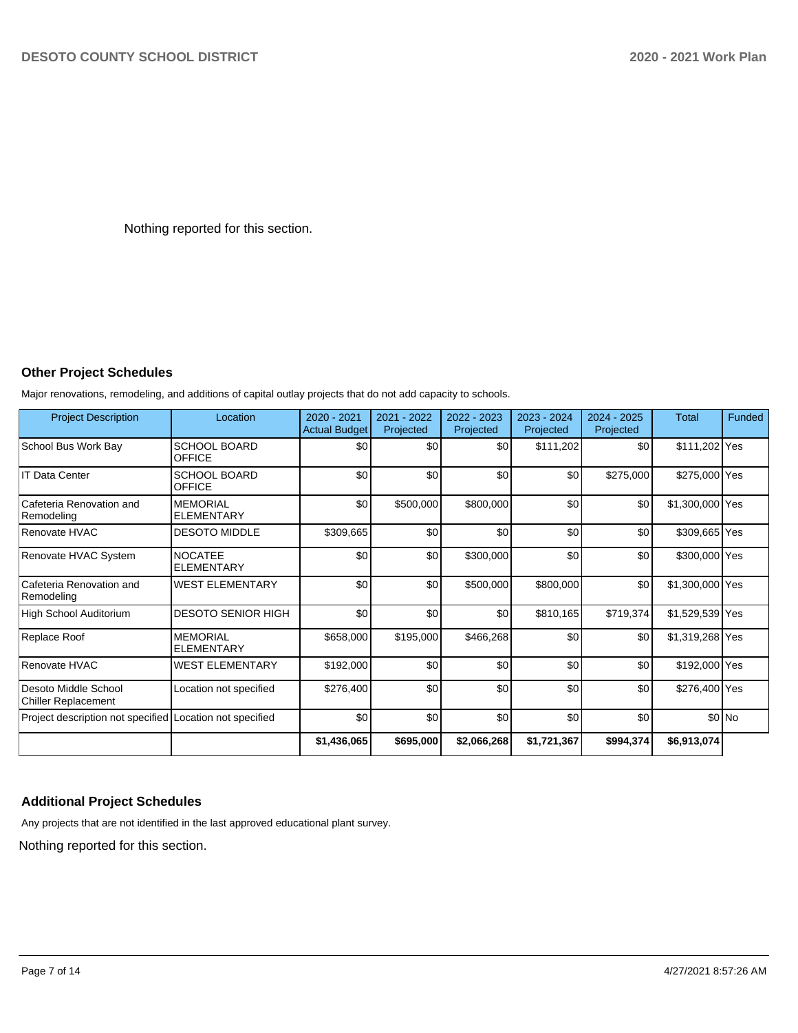Nothing reported for this section.

# **Other Project Schedules**

Major renovations, remodeling, and additions of capital outlay projects that do not add capacity to schools.

| <b>Project Description</b>                               | Location                             | $2020 - 2021$<br><b>Actual Budget</b> | 2021 - 2022<br>Projected | $2022 - 2023$<br>Projected | 2023 - 2024<br>Projected | 2024 - 2025<br>Projected | <b>Total</b>    | Funded |
|----------------------------------------------------------|--------------------------------------|---------------------------------------|--------------------------|----------------------------|--------------------------|--------------------------|-----------------|--------|
| School Bus Work Bay                                      | <b>SCHOOL BOARD</b><br><b>OFFICE</b> | \$0                                   | \$0                      | \$0                        | \$111,202                | \$0                      | \$111,202 Yes   |        |
| IT Data Center                                           | <b>SCHOOL BOARD</b><br><b>OFFICE</b> | \$0                                   | \$0                      | \$0                        | \$0                      | \$275,000                | \$275,000 Yes   |        |
| Cafeteria Renovation and<br>Remodeling                   | <b>MEMORIAL</b><br><b>ELEMENTARY</b> | \$0                                   | \$500,000                | \$800,000                  | \$0                      | \$0                      | \$1,300,000 Yes |        |
| Renovate HVAC                                            | <b>DESOTO MIDDLE</b>                 | \$309,665                             | \$0                      | \$0                        | \$0                      | \$0                      | \$309,665 Yes   |        |
| Renovate HVAC System                                     | <b>NOCATEE</b><br><b>ELEMENTARY</b>  | \$0                                   | \$0                      | \$300,000                  | \$0                      | \$0                      | \$300,000 Yes   |        |
| Cafeteria Renovation and<br>Remodeling                   | <b>WEST ELEMENTARY</b>               | \$0                                   | \$0                      | \$500,000                  | \$800,000                | \$0                      | \$1,300,000 Yes |        |
| High School Auditorium                                   | <b>DESOTO SENIOR HIGH</b>            | \$0                                   | \$0                      | \$0                        | \$810,165                | \$719,374                | \$1,529,539 Yes |        |
| Replace Roof                                             | <b>MEMORIAL</b><br><b>ELEMENTARY</b> | \$658,000                             | \$195,000                | \$466,268                  | \$0                      | \$0                      | \$1,319,268 Yes |        |
| Renovate HVAC                                            | <b>WEST ELEMENTARY</b>               | \$192,000                             | \$0                      | \$0                        | \$0                      | \$0                      | \$192,000 Yes   |        |
| Desoto Middle School<br><b>Chiller Replacement</b>       | Location not specified               | \$276,400                             | \$0                      | \$0                        | \$0                      | \$0                      | \$276,400 Yes   |        |
| Project description not specified Location not specified |                                      | \$0                                   | \$0                      | \$0                        | \$0                      | \$0                      |                 | \$0 No |
|                                                          |                                      | \$1,436,065                           | \$695,000                | \$2,066,268                | \$1,721,367              | \$994,374                | \$6,913,074     |        |

# **Additional Project Schedules**

Any projects that are not identified in the last approved educational plant survey.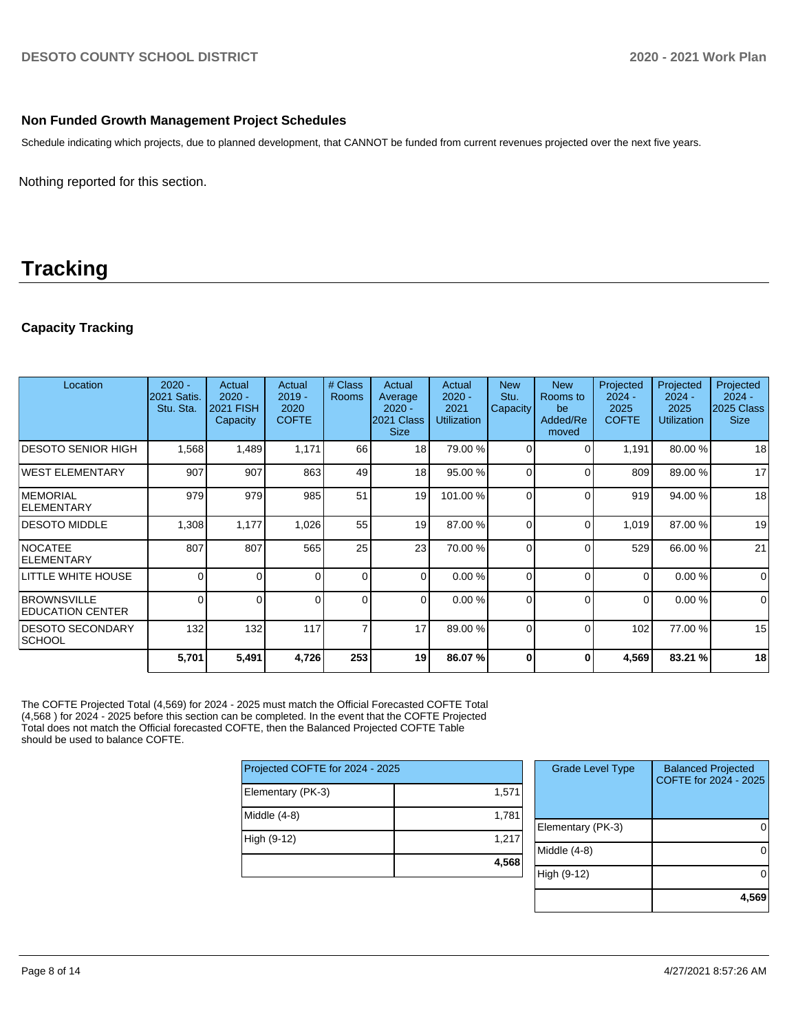### **Non Funded Growth Management Project Schedules**

Schedule indicating which projects, due to planned development, that CANNOT be funded from current revenues projected over the next five years.

Nothing reported for this section.

# **Tracking**

# **Capacity Tracking**

| Location                                       | $2020 -$<br><b>2021 Satis.</b><br>Stu. Sta. | Actual<br>$2020 -$<br>2021 FISH<br><b>Capacity</b> | Actual<br>$2019 -$<br>2020<br><b>COFTE</b> | # Class<br><b>Rooms</b> | Actual<br>Average<br>$2020 -$<br>2021 Class<br><b>Size</b> | Actual<br>$2020 -$<br>2021<br><b>Utilization</b> | <b>New</b><br>Stu.<br>Capacity | <b>New</b><br>Rooms to<br>be<br>Added/Re<br>moved | Projected<br>$2024 -$<br>2025<br><b>COFTE</b> | Projected<br>$2024 -$<br>2025<br><b>Utilization</b> | Projected<br>$2024 -$<br>2025 Class<br><b>Size</b> |
|------------------------------------------------|---------------------------------------------|----------------------------------------------------|--------------------------------------------|-------------------------|------------------------------------------------------------|--------------------------------------------------|--------------------------------|---------------------------------------------------|-----------------------------------------------|-----------------------------------------------------|----------------------------------------------------|
| IDESOTO SENIOR HIGH                            | 1,568                                       | 1,489                                              | 1,171                                      | 66                      | 18                                                         | 79.00 %                                          | $\Omega$                       | $\Omega$                                          | 1,191                                         | 80.00 %                                             | 18                                                 |
| WEST ELEMENTARY                                | 907                                         | 907                                                | 863                                        | 49                      | 18 <sup>1</sup>                                            | 95.00 %                                          | $\Omega$                       | $\Omega$                                          | 809                                           | 89.00 %                                             | 17                                                 |
| <b>IMEMORIAL</b><br><b>IELEMENTARY</b>         | 979                                         | 979                                                | 985                                        | 51                      | 19                                                         | 101.00%                                          | $\Omega$                       | $\Omega$                                          | 919                                           | 94.00 %                                             | 18                                                 |
| <b>DESOTO MIDDLE</b>                           | 1,308                                       | 1,177                                              | 1,026                                      | 55                      | 19                                                         | 87.00 %                                          | $\Omega$                       | $\Omega$                                          | 1,019                                         | 87.00 %                                             | 19                                                 |
| <b>NOCATEE</b><br><b>ELEMENTARY</b>            | 807                                         | 807                                                | 565                                        | 25                      | 23                                                         | 70.00 %                                          | $\Omega$                       | $\Omega$                                          | 529                                           | 66.00 %                                             | 21                                                 |
| LITTLE WHITE HOUSE                             | $\Omega$                                    | $\Omega$                                           | 0                                          | $\Omega$                | $\Omega$                                                   | 0.00%                                            | $\Omega$                       | $\Omega$                                          | $\Omega$                                      | 0.00%                                               | $\mathbf 0$                                        |
| <b>BROWNSVILLE</b><br><b>IEDUCATION CENTER</b> | 0                                           | <sup>0</sup>                                       |                                            | $\Omega$                | $\Omega$                                                   | 0.00%                                            | $\Omega$                       | $\Omega$                                          | 0                                             | 0.00%                                               | $\mathbf 0$                                        |
| <b>DESOTO SECONDARY</b><br> SCHOOL             | 132                                         | 132                                                | 117                                        | $\overline{7}$          | 17                                                         | 89.00 %                                          | $\Omega$                       | $\Omega$                                          | 102                                           | 77.00 %                                             | 15                                                 |
|                                                | 5,701                                       | 5,491                                              | 4,726                                      | 253                     | 19                                                         | 86.07%                                           | 0                              | 0                                                 | 4,569                                         | 83.21 %                                             | 18                                                 |

The COFTE Projected Total (4,569) for 2024 - 2025 must match the Official Forecasted COFTE Total (4,568 ) for 2024 - 2025 before this section can be completed. In the event that the COFTE Projected Total does not match the Official forecasted COFTE, then the Balanced Projected COFTE Table should be used to balance COFTE.

| Projected COFTE for 2024 - 2025 |       |  |  |  |  |
|---------------------------------|-------|--|--|--|--|
| Elementary (PK-3)               | 1,571 |  |  |  |  |
| Middle $(4-8)$                  | 1,781 |  |  |  |  |
| High (9-12)                     | 1,217 |  |  |  |  |
|                                 | 4,568 |  |  |  |  |

| <b>Grade Level Type</b> | <b>Balanced Projected</b><br>COFTE for 2024 - 2025 |
|-------------------------|----------------------------------------------------|
| Elementary (PK-3)       |                                                    |
| Middle (4-8)            |                                                    |
| High (9-12)             |                                                    |
|                         | 4.56                                               |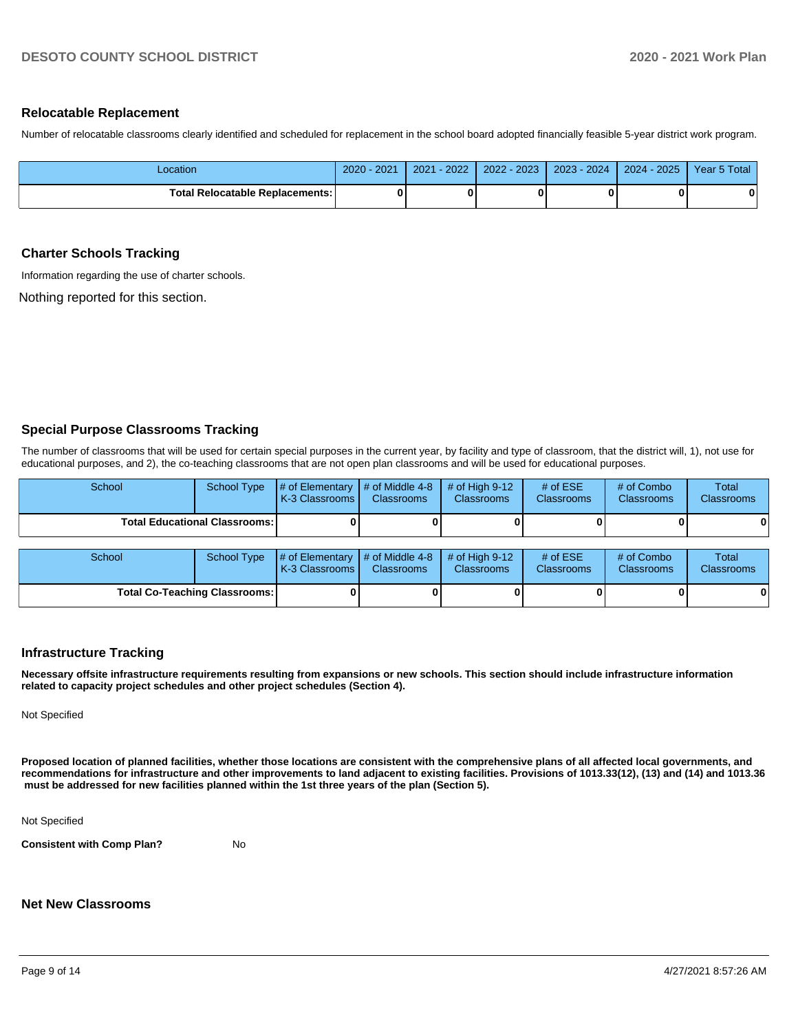#### **Relocatable Replacement**

Number of relocatable classrooms clearly identified and scheduled for replacement in the school board adopted financially feasible 5-year district work program.

| Location                                 | 2021<br>$2020 -$ | $-2022$<br>2021 | $2022 - 2023$ | $2023 - 2024$ | $2024 - 2025$ | Year 5 Total |
|------------------------------------------|------------------|-----------------|---------------|---------------|---------------|--------------|
| <b>Total Relocatable Replacements: I</b> |                  |                 |               |               |               | 0            |

#### **Charter Schools Tracking**

Information regarding the use of charter schools.

Nothing reported for this section.

#### **Special Purpose Classrooms Tracking**

The number of classrooms that will be used for certain special purposes in the current year, by facility and type of classroom, that the district will, 1), not use for educational purposes, and 2), the co-teaching classrooms that are not open plan classrooms and will be used for educational purposes.

| School | School Type                            | $\parallel \#$ of Elementary $\parallel \#$ of Middle 4-8 $\parallel \#$ of High 9-12<br><b>K-3 Classrooms</b> | <b>Classrooms</b> | <b>Classrooms</b> | # of $ESE$<br><b>Classrooms</b> | # of Combo<br><b>Classrooms</b> | <b>Total</b><br><b>Classrooms</b> |
|--------|----------------------------------------|----------------------------------------------------------------------------------------------------------------|-------------------|-------------------|---------------------------------|---------------------------------|-----------------------------------|
|        | <b>Total Educational Classrooms: I</b> |                                                                                                                |                   |                   |                                 | 0                               | 0                                 |
|        |                                        |                                                                                                                |                   |                   |                                 |                                 |                                   |

| School                        | School Type | $\sharp$ of Elementary $\sharp$ of Middle 4-8 $\sharp$ of High 9-12<br><b>K-3 Classrooms I</b> | <b>Classrooms</b> | <b>Classrooms</b> | $#$ of ESE<br><b>Classrooms</b> | # of Combo<br><b>Classrooms</b> | Total<br><b>Classrooms</b> |
|-------------------------------|-------------|------------------------------------------------------------------------------------------------|-------------------|-------------------|---------------------------------|---------------------------------|----------------------------|
| Total Co-Teaching Classrooms: |             |                                                                                                |                   |                   |                                 | 0                               | 01                         |

#### **Infrastructure Tracking**

**Necessary offsite infrastructure requirements resulting from expansions or new schools. This section should include infrastructure information related to capacity project schedules and other project schedules (Section 4).** 

Not Specified

**Proposed location of planned facilities, whether those locations are consistent with the comprehensive plans of all affected local governments, and recommendations for infrastructure and other improvements to land adjacent to existing facilities. Provisions of 1013.33(12), (13) and (14) and 1013.36 must be addressed for new facilities planned within the 1st three years of the plan (Section 5).** 

Not Specified

**Consistent with Comp Plan?** No

# **Net New Classrooms**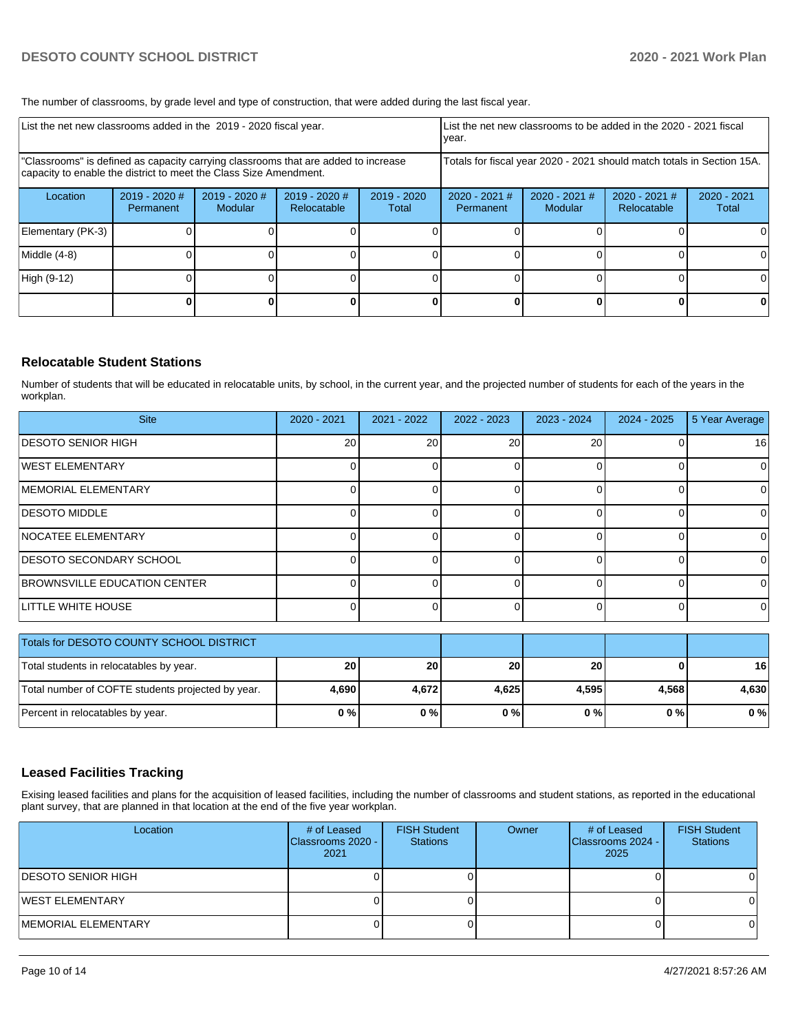The number of classrooms, by grade level and type of construction, that were added during the last fiscal year.

| List the net new classrooms added in the 2019 - 2020 fiscal year.                                                                                       |                              |                                 |                              |                      | List the net new classrooms to be added in the 2020 - 2021 fiscal<br>year. |                            |                                |                        |  |
|---------------------------------------------------------------------------------------------------------------------------------------------------------|------------------------------|---------------------------------|------------------------------|----------------------|----------------------------------------------------------------------------|----------------------------|--------------------------------|------------------------|--|
| "Classrooms" is defined as capacity carrying classrooms that are added to increase<br>capacity to enable the district to meet the Class Size Amendment. |                              |                                 |                              |                      | Totals for fiscal year 2020 - 2021 should match totals in Section 15A.     |                            |                                |                        |  |
| Location                                                                                                                                                | $2019 - 2020$ #<br>Permanent | 2019 - 2020 #<br><b>Modular</b> | 2019 - 2020 #<br>Relocatable | 2019 - 2020<br>Total | 2020 - 2021 #<br>Permanent                                                 | $2020 - 2021$ #<br>Modular | $2020 - 2021$ #<br>Relocatable | $2020 - 2021$<br>Total |  |
| Elementary (PK-3)                                                                                                                                       |                              |                                 |                              |                      |                                                                            |                            |                                | 0                      |  |
| Middle (4-8)                                                                                                                                            |                              |                                 |                              |                      |                                                                            |                            |                                | 0                      |  |
| High (9-12)                                                                                                                                             |                              |                                 |                              |                      |                                                                            |                            |                                | $\Omega$               |  |
|                                                                                                                                                         |                              |                                 |                              |                      |                                                                            |                            |                                | 0                      |  |

# **Relocatable Student Stations**

Number of students that will be educated in relocatable units, by school, in the current year, and the projected number of students for each of the years in the workplan.

| <b>Site</b>                         | 2020 - 2021 | 2021 - 2022 | $2022 - 2023$ | $2023 - 2024$ | $2024 - 2025$ | 5 Year Average |
|-------------------------------------|-------------|-------------|---------------|---------------|---------------|----------------|
| <b>DESOTO SENIOR HIGH</b>           | <b>20</b>   | 20          | 20            | 20            |               | 16             |
| <b>WEST ELEMENTARY</b>              |             |             |               |               |               | $\Omega$       |
| MEMORIAL ELEMENTARY                 |             |             |               |               |               | $\Omega$       |
| <b>IDESOTO MIDDLE</b>               |             |             |               |               |               | $\Omega$       |
| <b>NOCATEE ELEMENTARY</b>           |             |             |               |               |               | $\Omega$       |
| <b>IDESOTO SECONDARY SCHOOL</b>     |             |             |               |               |               | 0              |
| <b>BROWNSVILLE EDUCATION CENTER</b> |             |             |               |               |               | $\Omega$       |
| LITTLE WHITE HOUSE                  |             |             |               |               |               | 0              |

| Totals for DESOTO COUNTY SCHOOL DISTRICT          |           |       |       |       |       |       |
|---------------------------------------------------|-----------|-------|-------|-------|-------|-------|
| Total students in relocatables by year.           | <b>20</b> | 20    | 20    | 20    |       | 16    |
| Total number of COFTE students projected by year. | 4.690     | 4.672 | 4.625 | 4.595 | 4.568 | 4.630 |
| Percent in relocatables by year.                  | 0%        | 0%    | 0%    | 0%    | 0 % I | 0%    |

# **Leased Facilities Tracking**

Exising leased facilities and plans for the acquisition of leased facilities, including the number of classrooms and student stations, as reported in the educational plant survey, that are planned in that location at the end of the five year workplan.

| Location                   | # of Leased<br>Classrooms 2020 - I<br>2021 | <b>FISH Student</b><br><b>Stations</b> | Owner | # of Leased<br>Classrooms 2024 -<br>2025 | <b>FISH Student</b><br><b>Stations</b> |
|----------------------------|--------------------------------------------|----------------------------------------|-------|------------------------------------------|----------------------------------------|
| <b>IDESOTO SENIOR HIGH</b> |                                            |                                        |       |                                          |                                        |
| WEST ELEMENTARY            |                                            |                                        |       |                                          |                                        |
| IMEMORIAL ELEMENTARY       |                                            |                                        |       |                                          |                                        |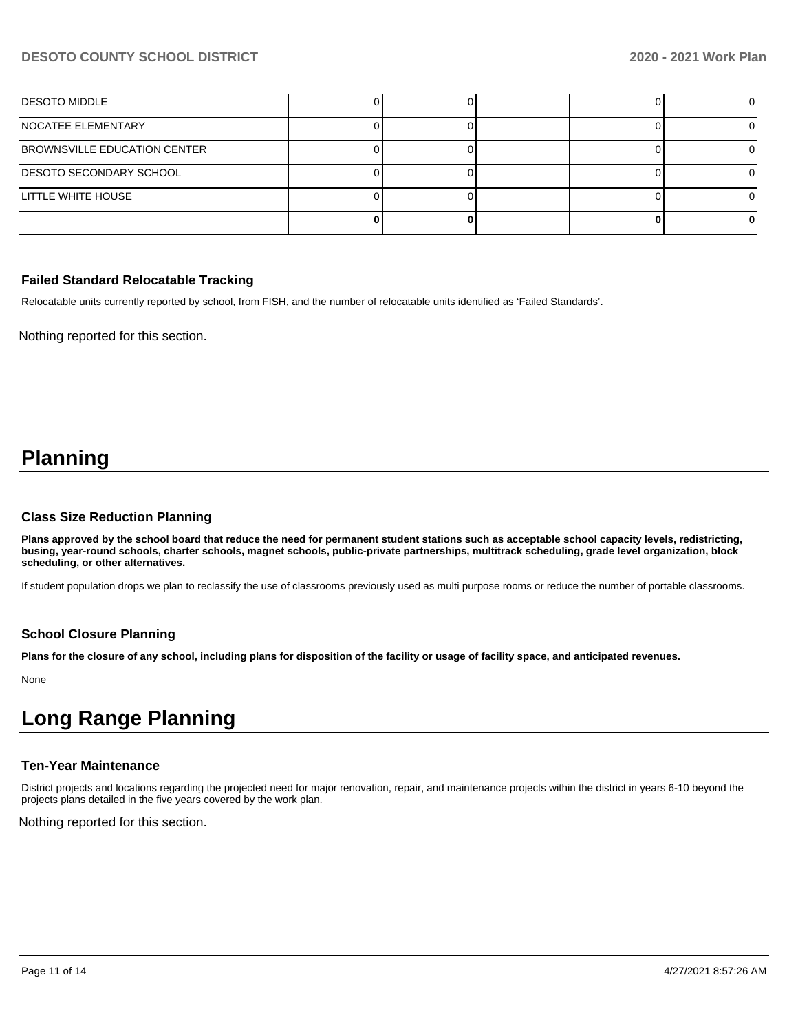# **DESOTO COUNTY SCHOOL DISTRICT 2020 - 2021 Work Plan**

| <b>IDESOTO MIDDLE</b>          |  |  |  |
|--------------------------------|--|--|--|
| <b>NOCATEE ELEMENTARY</b>      |  |  |  |
| BROWNSVILLE EDUCATION CENTER   |  |  |  |
| <b>DESOTO SECONDARY SCHOOL</b> |  |  |  |
| LITTLE WHITE HOUSE             |  |  |  |
|                                |  |  |  |

#### **Failed Standard Relocatable Tracking**

Relocatable units currently reported by school, from FISH, and the number of relocatable units identified as 'Failed Standards'.

Nothing reported for this section.

# **Planning**

#### **Class Size Reduction Planning**

**Plans approved by the school board that reduce the need for permanent student stations such as acceptable school capacity levels, redistricting, busing, year-round schools, charter schools, magnet schools, public-private partnerships, multitrack scheduling, grade level organization, block scheduling, or other alternatives.**

If student population drops we plan to reclassify the use of classrooms previously used as multi purpose rooms or reduce the number of portable classrooms.

#### **School Closure Planning**

**Plans for the closure of any school, including plans for disposition of the facility or usage of facility space, and anticipated revenues.** 

None

# **Long Range Planning**

#### **Ten-Year Maintenance**

District projects and locations regarding the projected need for major renovation, repair, and maintenance projects within the district in years 6-10 beyond the projects plans detailed in the five years covered by the work plan.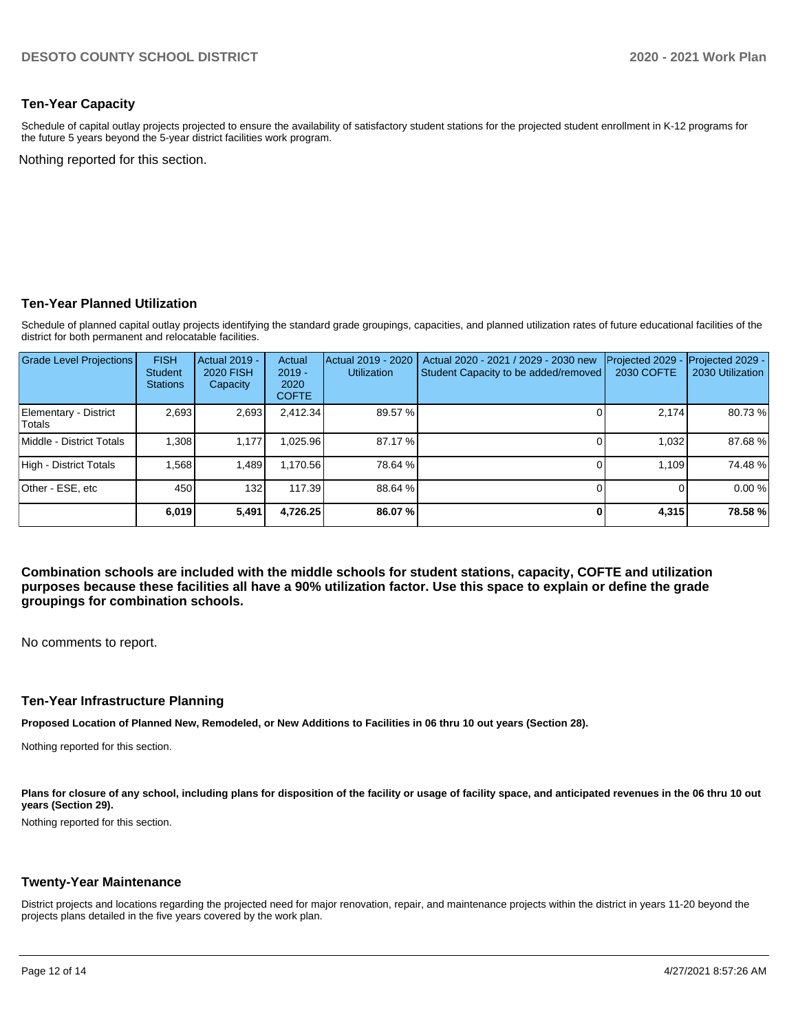### **Ten-Year Capacity**

Schedule of capital outlay projects projected to ensure the availability of satisfactory student stations for the projected student enrollment in K-12 programs for the future 5 years beyond the 5-year district facilities work program.

Nothing reported for this section.

#### **Ten-Year Planned Utilization**

Schedule of planned capital outlay projects identifying the standard grade groupings, capacities, and planned utilization rates of future educational facilities of the district for both permanent and relocatable facilities.

| <b>Grade Level Projections</b>  | <b>FISH</b><br><b>Student</b><br><b>Stations</b> | <b>Actual 2019 -</b><br><b>2020 FISH</b><br>Capacity | Actual<br>$2019 -$<br>2020<br><b>COFTE</b> | Actual 2019 - 2020<br><b>Utilization</b> | Actual 2020 - 2021 / 2029 - 2030 new<br>Student Capacity to be added/removed | Projected 2029<br>2030 COFTE | Projected 2029 -<br>2030 Utilization |
|---------------------------------|--------------------------------------------------|------------------------------------------------------|--------------------------------------------|------------------------------------------|------------------------------------------------------------------------------|------------------------------|--------------------------------------|
| Elementary - District<br>Totals | 2,693                                            | 2,693                                                | 2,412.34                                   | 89.57 %                                  |                                                                              | 2,174                        | 80.73%                               |
| Middle - District Totals        | 1.308                                            | 1.177                                                | .025.96                                    | 87.17 %                                  |                                                                              | 1.032                        | 87.68%                               |
| High - District Totals          | 1.568                                            | 1.489                                                | 1,170.56                                   | 78.64 %                                  |                                                                              | 1.109                        | 74.48%                               |
| Other - ESE, etc                | 450                                              | 132                                                  | 117.39                                     | 88.64 %                                  |                                                                              |                              | 0.00%                                |
|                                 | 6.019                                            | 5,491                                                | 4.726.25                                   | 86.07%                                   |                                                                              | 4.315                        | 78.58%                               |

**Combination schools are included with the middle schools for student stations, capacity, COFTE and utilization purposes because these facilities all have a 90% utilization factor. Use this space to explain or define the grade groupings for combination schools.** 

No comments to report.

#### **Ten-Year Infrastructure Planning**

**Proposed Location of Planned New, Remodeled, or New Additions to Facilities in 06 thru 10 out years (Section 28).**

Nothing reported for this section.

Plans for closure of any school, including plans for disposition of the facility or usage of facility space, and anticipated revenues in the 06 thru 10 out **years (Section 29).**

Nothing reported for this section.

#### **Twenty-Year Maintenance**

District projects and locations regarding the projected need for major renovation, repair, and maintenance projects within the district in years 11-20 beyond the projects plans detailed in the five years covered by the work plan.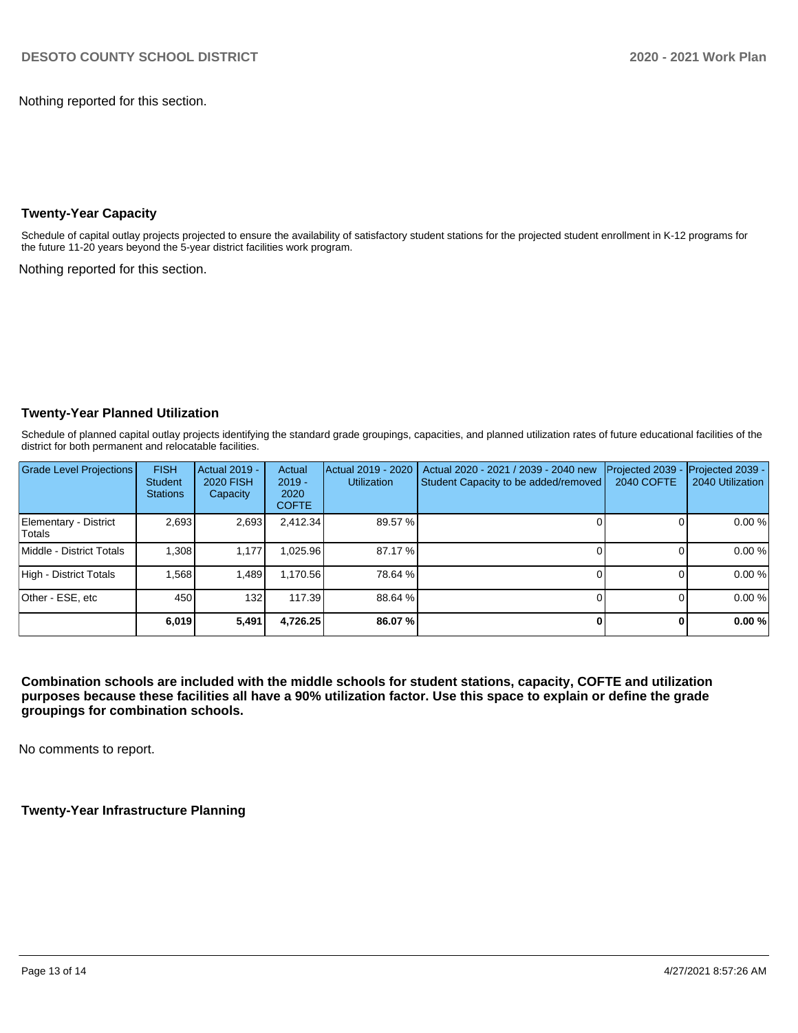Nothing reported for this section.

# **Twenty-Year Capacity**

Schedule of capital outlay projects projected to ensure the availability of satisfactory student stations for the projected student enrollment in K-12 programs for the future 11-20 years beyond the 5-year district facilities work program.

Nothing reported for this section.

# **Twenty-Year Planned Utilization**

Schedule of planned capital outlay projects identifying the standard grade groupings, capacities, and planned utilization rates of future educational facilities of the district for both permanent and relocatable facilities.

| <b>Grade Level Projections</b>   | <b>FISH</b><br><b>Student</b><br><b>Stations</b> | <b>Actual 2019 -</b><br><b>2020 FISH</b><br>Capacity | Actual<br>$2019 -$<br>2020<br><b>COFTE</b> | Actual 2019 - 2020<br><b>Utilization</b> | Actual 2020 - 2021 / 2039 - 2040 new<br>Student Capacity to be added/removed | Projected 2039<br>2040 COFTE | Projected 2039 -<br>2040 Utilization |
|----------------------------------|--------------------------------------------------|------------------------------------------------------|--------------------------------------------|------------------------------------------|------------------------------------------------------------------------------|------------------------------|--------------------------------------|
| Elementary - District<br>lTotals | 2,693                                            | 2,693                                                | 2,412.34                                   | 89.57 %                                  |                                                                              |                              | 0.00%                                |
| Middle - District Totals         | 1.308                                            | 1.177                                                | .025.96                                    | 87.17 %                                  |                                                                              |                              | 0.00 %                               |
| High - District Totals           | .568                                             | 1.489                                                | 1.170.56                                   | 78.64 %                                  |                                                                              |                              | 0.00%                                |
| Other - ESE, etc                 | 450                                              | 132                                                  | 117.39                                     | 88.64 %                                  |                                                                              |                              | 0.00 %                               |
|                                  | 6,019                                            | 5,491                                                | 4,726.25                                   | 86.07%                                   |                                                                              |                              | 0.00 %                               |

**Combination schools are included with the middle schools for student stations, capacity, COFTE and utilization purposes because these facilities all have a 90% utilization factor. Use this space to explain or define the grade groupings for combination schools.** 

No comments to report.

**Twenty-Year Infrastructure Planning**